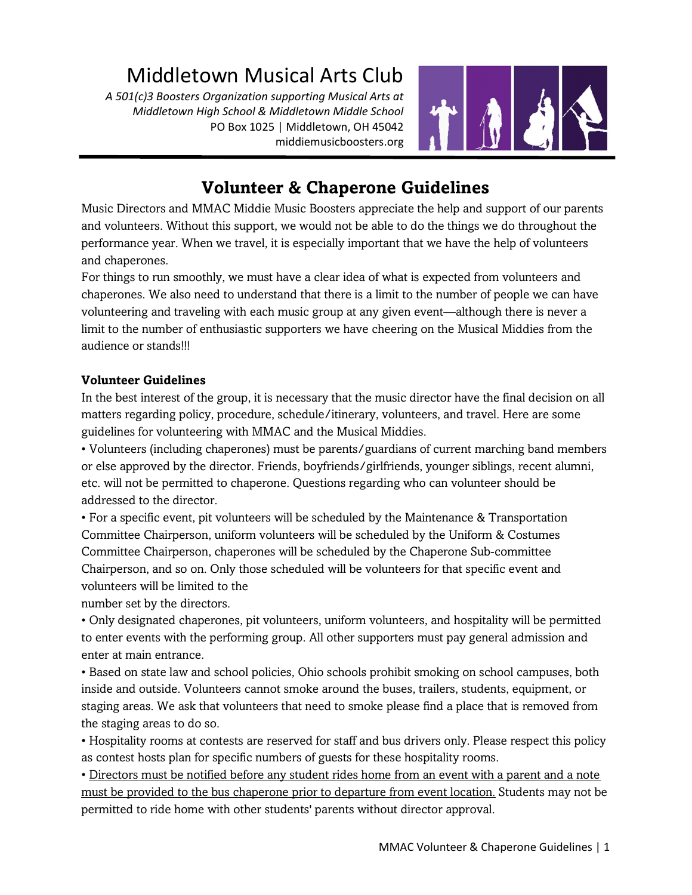# Middletown Musical Arts Club

A 501(c)3 Boosters Organization supporting Musical Arts at Middletown High School & Middletown Middle School PO Box 1025 | Middletown, OH 45042 middiemusicboosters.org



# Volunteer & Chaperone Guidelines

Music Directors and MMAC Middie Music Boosters appreciate the help and support of our parents and volunteers. Without this support, we would not be able to do the things we do throughout the performance year. When we travel, it is especially important that we have the help of volunteers and chaperones.

For things to run smoothly, we must have a clear idea of what is expected from volunteers and chaperones. We also need to understand that there is a limit to the number of people we can have volunteering and traveling with each music group at any given event—although there is never a limit to the number of enthusiastic supporters we have cheering on the Musical Middies from the audience or stands!!!

#### Volunteer Guidelines

In the best interest of the group, it is necessary that the music director have the final decision on all matters regarding policy, procedure, schedule/itinerary, volunteers, and travel. Here are some guidelines for volunteering with MMAC and the Musical Middies.

• Volunteers (including chaperones) must be parents/guardians of current marching band members or else approved by the director. Friends, boyfriends/girlfriends, younger siblings, recent alumni, etc. will not be permitted to chaperone. Questions regarding who can volunteer should be addressed to the director.

• For a specific event, pit volunteers will be scheduled by the Maintenance & Transportation Committee Chairperson, uniform volunteers will be scheduled by the Uniform & Costumes Committee Chairperson, chaperones will be scheduled by the Chaperone Sub-committee Chairperson, and so on. Only those scheduled will be volunteers for that specific event and volunteers will be limited to the

number set by the directors.

• Only designated chaperones, pit volunteers, uniform volunteers, and hospitality will be permitted to enter events with the performing group. All other supporters must pay general admission and enter at main entrance.

• Based on state law and school policies, Ohio schools prohibit smoking on school campuses, both inside and outside. Volunteers cannot smoke around the buses, trailers, students, equipment, or staging areas. We ask that volunteers that need to smoke please find a place that is removed from the staging areas to do so.

• Hospitality rooms at contests are reserved for staff and bus drivers only. Please respect this policy as contest hosts plan for specific numbers of guests for these hospitality rooms.

• Directors must be notified before any student rides home from an event with a parent and a note must be provided to the bus chaperone prior to departure from event location. Students may not be permitted to ride home with other students' parents without director approval.